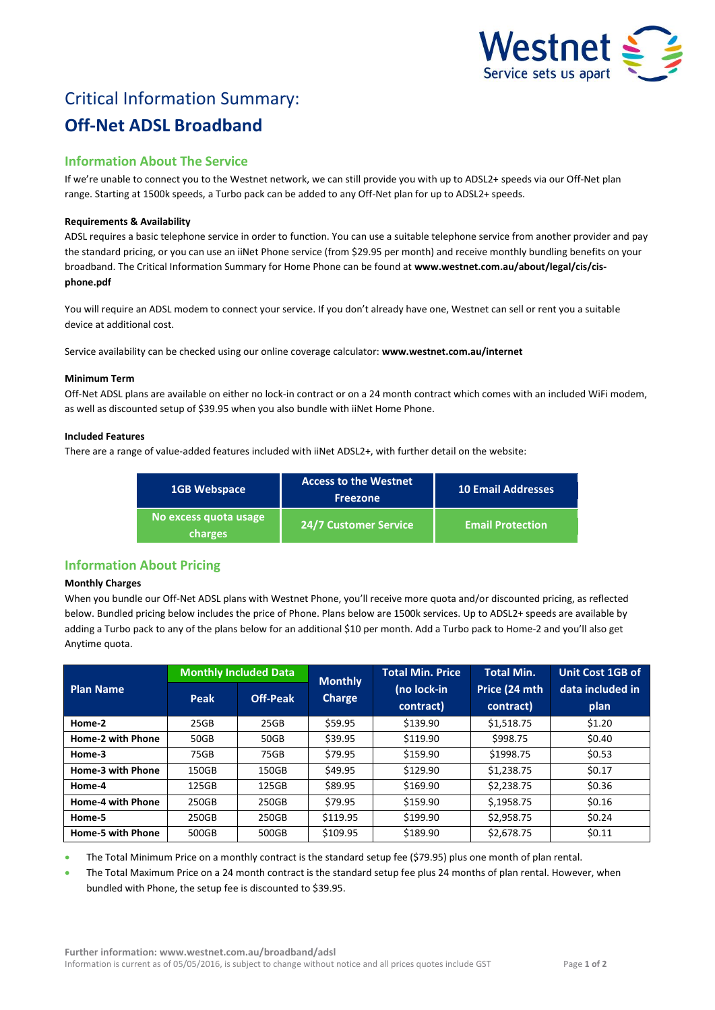

# Critical Information Summary: **Off-Net ADSL Broadband**

# **Information About The Service**

If we're unable to connect you to the Westnet network, we can still provide you with up to ADSL2+ speeds via our Off-Net plan range. Starting at 1500k speeds, a Turbo pack can be added to any Off-Net plan for up to ADSL2+ speeds.

## **Requirements & Availability**

ADSL requires a basic telephone service in order to function. You can use a suitable telephone service from another provider and pay the standard pricing, or you can use an iiNet Phone service (from \$29.95 per month) and receive monthly bundling benefits on your broadband. The Critical Information Summary for Home Phone can be found at **www.westnet.com.au/about/legal/cis/cisphone.pdf**

You will require an ADSL modem to connect your service. If you don't already have one, Westnet can sell or rent you a suitable device at additional cost.

Service availability can be checked using our online coverage calculator: **www.westnet.com.au/internet**

#### **Minimum Term**

Off-Net ADSL plans are available on either no lock-in contract or on a 24 month contract which comes with an included WiFi modem, as well as discounted setup of \$39.95 when you also bundle with iiNet Home Phone.

#### **Included Features**

There are a range of value-added features included with iiNet ADSL2+, with further detail on the website:

| <b>1GB Webspace</b>              | <b>Access to the Westnet</b><br><b>Freezone</b> | <b>10 Email Addresses</b> |  |
|----------------------------------|-------------------------------------------------|---------------------------|--|
| No excess quota usage<br>charges | <b>24/7 Customer Service</b>                    | <b>Email Protection</b>   |  |

# **Information About Pricing**

## **Monthly Charges**

When you bundle our Off-Net ADSL plans with Westnet Phone, you'll receive more quota and/or discounted pricing, as reflected below. Bundled pricing below includes the price of Phone. Plans below are 1500k services. Up to ADSL2+ speeds are available by adding a Turbo pack to any of the plans below for an additional \$10 per month. Add a Turbo pack to Home-2 and you'll also get Anytime quota.

| <b>Plan Name</b>         | <b>Monthly Included Data</b> |                 | <b>Monthly</b> | <b>Total Min. Price</b>  | <b>Total Min.</b>          | Unit Cost 1GB of         |
|--------------------------|------------------------------|-----------------|----------------|--------------------------|----------------------------|--------------------------|
|                          | Peak                         | <b>Off-Peak</b> | Charge         | (no lock-in<br>contract) | Price (24 mth<br>contract) | data included in<br>plan |
| Home-2                   | 25GB                         | 25GB            | \$59.95        | \$139.90                 | \$1,518.75                 | \$1.20                   |
| <b>Home-2 with Phone</b> | 50GB                         | 50GB            | \$39.95        | \$119.90                 | \$998.75                   | \$0.40                   |
| Home-3                   | 75GB                         | 75GB            | \$79.95        | \$159.90                 | \$1998.75                  | \$0.53                   |
| Home-3 with Phone        | 150GB                        | 150GB           | \$49.95        | \$129.90                 | \$1,238.75                 | \$0.17                   |
| Home-4                   | 125GB                        | 125GB           | \$89.95        | \$169.90                 | \$2,238.75                 | \$0.36                   |
| <b>Home-4 with Phone</b> | 250GB                        | 250GB           | \$79.95        | \$159.90                 | \$,1958.75                 | \$0.16                   |
| Home-5                   | 250GB                        | 250GB           | \$119.95       | \$199.90                 | \$2,958.75                 | \$0.24                   |
| <b>Home-5 with Phone</b> | 500GB                        | 500GB           | \$109.95       | \$189.90                 | \$2,678.75                 | \$0.11                   |

The Total Minimum Price on a monthly contract is the standard setup fee (\$79.95) plus one month of plan rental.

 The Total Maximum Price on a 24 month contract is the standard setup fee plus 24 months of plan rental. However, when bundled with Phone, the setup fee is discounted to \$39.95.